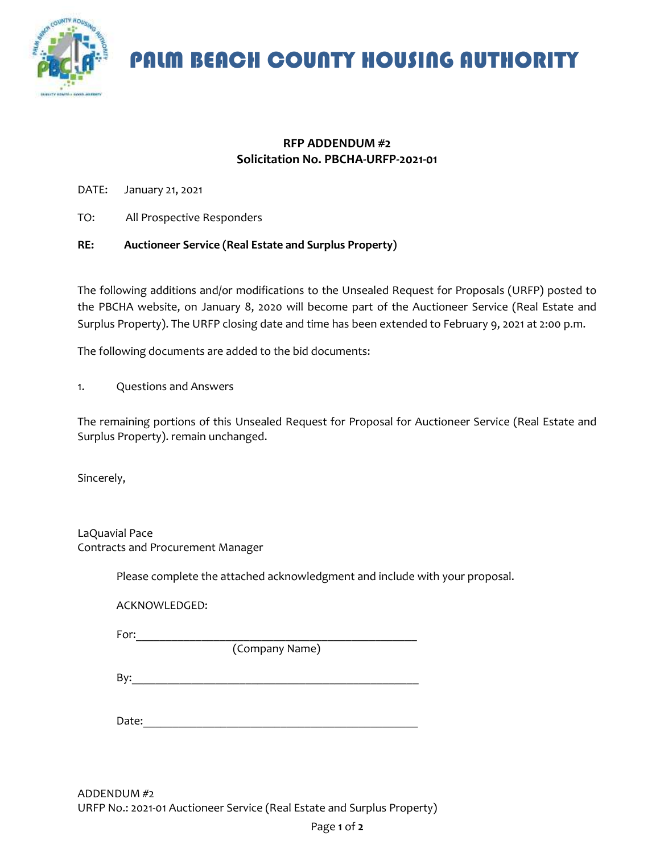

PALM BEACH COUNTY HOUSING AUTHORITY

## **RFP ADDENDUM #2 Solicitation No. PBCHA-URFP-2021-01**

DATE: January 21, 2021

TO: All Prospective Responders

## **RE: Auctioneer Service (Real Estate and Surplus Property)**

The following additions and/or modifications to the Unsealed Request for Proposals (URFP) posted to the PBCHA website, on January 8, 2020 will become part of the Auctioneer Service (Real Estate and Surplus Property). The URFP closing date and time has been extended to February 9, 2021 at 2:00 p.m.

The following documents are added to the bid documents:

1. Questions and Answers

The remaining portions of this Unsealed Request for Proposal for Auctioneer Service (Real Estate and Surplus Property). remain unchanged.

Sincerely,

LaQuavial Pace Contracts and Procurement Manager

Please complete the attached acknowledgment and include with your proposal.

ACKNOWLEDGED:

For:\_\_\_\_\_\_\_\_\_\_\_\_\_\_\_\_\_\_\_\_\_\_\_\_\_\_\_\_\_\_\_\_\_\_\_\_\_\_\_\_\_\_\_\_\_\_\_

(Company Name)

By:\_\_\_\_\_\_\_\_\_\_\_\_\_\_\_\_\_\_\_\_\_\_\_\_\_\_\_\_\_\_\_\_\_\_\_\_\_\_\_\_\_\_\_\_\_\_\_\_

Date: